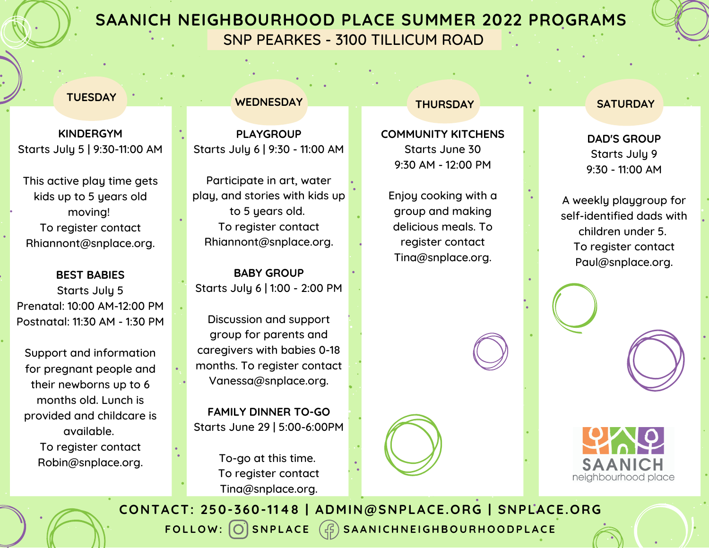## **SAANICH NEIGHBOURHOOD PLACE SUMMER 2022 PROGRAMS**

SNP PEARKES - 3100 TILLICUM ROAD

#### **TUESDAY**

**KINDERGYM** Starts July 5 | 9:30-11:00 AM

This active play time gets kids up to 5 years old moving! To register contact Rhiannont@snplace.org.

**BEST BABIES** Starts July 5 Prenatal: 10:00 AM-12:00 PM Postnatal: 11:30 AM - 1:30 PM

Support and information for pregnant people and their newborns up to 6 months old. Lunch is provided and childcare is available. To register contact Robin@snplace.org.

#### **WEDNESDAY**

**PLAYGROUP** Starts July 6 | 9:30 - 11:00 AM

Participate in art, water play, and stories with kids up to 5 years old. To register contact Rhiannont@snplace.org.

**BABY GROUP** Starts July 6 | 1:00 - 2:00 PM

Discussion and support group for parents and caregivers with babies 0-18 months. To register contact Vanessa@snplace.org.

**FAMILY DINNER TO-GO** Starts June 29 | 5:00-6:00PM

> To-go at this time. To register contact Tina@snplace.org.

#### **THURSDAY**

**COMMUNITY KITCHENS** Starts June 30 9:30 AM - 12:00 PM

Enjoy cooking with a group and making delicious meals. To register contact Tina@snplace.org.

#### **SATURDAY**

**DAD'S GROUP** Starts July 9 9:30 - 11:00 AM

A weekly playgroup for self-identified dads with children under 5. To register contact [Paul@snplace.org](mailto:Paul@snplace.org).



FOLLOW: O SNPLACE  $(\mathcal{G})$  SAANICHNEIGHBOURHOODPLACE **CONTACT: 250-360-1148 | ADMIN@SNPLACE.ORG | SNPLACE.ORG**